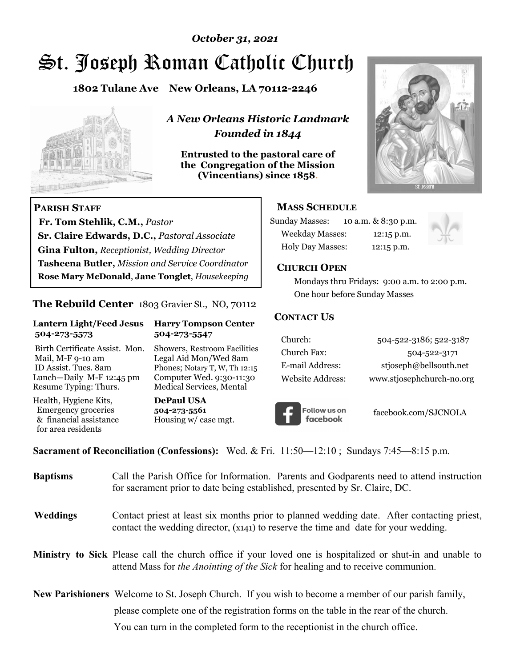# St. Joseph Roman Catholic Church *October 31, 2021*

**1802 Tulane Ave New Orleans, LA 70112-2246**



 **Fr. Tom Stehlik, C.M.,** *Pastor* 

**Sr. Claire Edwards, D.C.,** *Pastoral Associate* **Gina Fulton,** *Receptionist, Wedding Director* 

**Tasheena Butler,** *Mission and Service Coordinator* **Rose Mary McDonald**, **Jane Tonglet**, *Housekeeping*

**The Rebuild Center** 1803 Gravier St., NO, 70112

**Lantern Light/Feed Jesus Harry Tompson Center** 

Birth Certificate Assist. Mon. Showers, Restroom Facilities Mail, M-F 9-10 am Legal Aid Mon/Wed 8am ID Assist. Tues. 8am Phones; Notary T, W, Th 12:15 Lunch—Daily M-F 12:45 pm Computer Wed. 9:30-11:30 Resume Typing: Thurs. Medical Services, Mental

 **504-273-5573 504-273-5547** 

Health, Hygiene Kits, **DePaul USA**  Emergency groceries **504-273-5561**

& financial assistance Housing w/ case mgt.

**PARISH STAFF**

for area residents

*A New Orleans Historic Landmark Founded in 1844* 

**Entrusted to the pastoral care of the Congregation of the Mission (Vincentians) since 1858**.



## **MASS SCHEDULE**

| <b>Sunday Masses:</b>  | 10 a.m. & 8:30 p.m. |
|------------------------|---------------------|
| <b>Weekday Masses:</b> | $12:15$ p.m.        |
| Holy Day Masses:       | 12:15 p.m.          |



#### **CHURCH OPEN**

 Mondays thru Fridays: 9:00 a.m. to 2:00 p.m. One hour before Sunday Masses

### **CONTACT US**

| Church:          | 504-522-3186; 522-3187    |
|------------------|---------------------------|
| Church Fax:      | 504-522-3171              |
| E-mail Address:  | stjoseph@bellsouth.net    |
| Website Address: | www.stjosephchurch-no.org |



facebook.com/SJCNOLA

**Sacrament of Reconciliation (Confessions):** Wed. & Fri. 11:50—12:10 ; Sundays 7:45—8:15 p.m.

| <b>Baptisms</b> | Call the Parish Office for Information. Parents and Godparents need to attend instruction<br>for sacrament prior to date being established, presented by Sr. Claire, DC.                                   |  |
|-----------------|------------------------------------------------------------------------------------------------------------------------------------------------------------------------------------------------------------|--|
| <b>Weddings</b> | Contact priest at least six months prior to planned wedding date. After contacting priest,<br>contact the wedding director, (x141) to reserve the time and date for your wedding.                          |  |
|                 | <b>Ministry to Sick</b> Please call the church office if your loved one is hospitalized or shut-in and unable to<br>attend Mass for <i>the Anointing of the Sick</i> for healing and to receive communion. |  |
|                 | <b>New Parishioners</b> Welcome to St. Joseph Church. If you wish to become a member of our parish family,                                                                                                 |  |
|                 | please complete one of the registration forms on the table in the rear of the church.                                                                                                                      |  |
|                 | You can turn in the completed form to the receptionist in the church office.                                                                                                                               |  |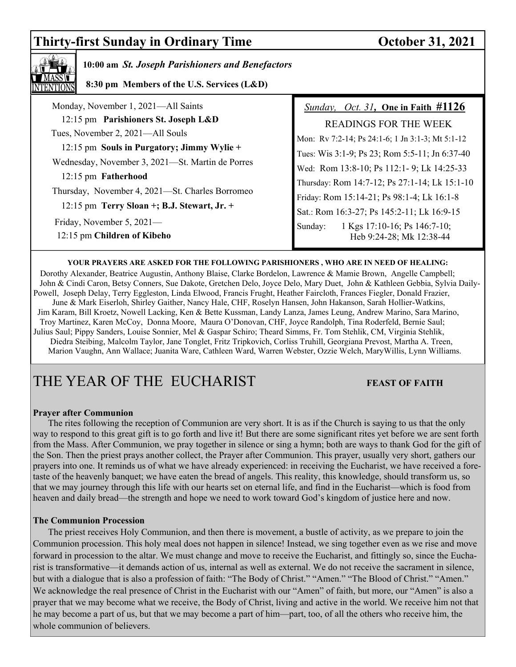# **Thirty-first Sunday in Ordinary Time October 31, 2021**



# **10:00 am** *St. Joseph Parishioners and Benefactors*

 **8:30 pm Members of the U.S. Services (L&D)**

| Monday, November 1, 2021-All Saints                                                            | <i>Sunday, Oct. 31</i> , One in Faith $\#1126$                                           |
|------------------------------------------------------------------------------------------------|------------------------------------------------------------------------------------------|
| 12:15 pm Parishioners St. Joseph L&D                                                           | <b>READINGS FOR THE WEEK</b>                                                             |
| Tues, November 2, 2021—All Souls                                                               | Mon: Rv 7:2-14; Ps 24:1-6; 1 Jn 3:1-3; Mt 5:1-12                                         |
| 12:15 pm Souls in Purgatory; Jimmy Wylie +<br>Wednesday, November 3, 2021-St. Martin de Porres | Tues: Wis 3:1-9; Ps 23; Rom 5:5-11; Jn 6:37-40                                           |
| 12:15 pm Fatherhood                                                                            | Wed: Rom 13:8-10; Ps 112:1-9; Lk 14:25-33                                                |
| Thursday, November 4, 2021—St. Charles Borromeo                                                | Thursday: Rom 14:7-12; Ps 27:1-14; Lk 15:1-10                                            |
| 12:15 pm Terry Sloan +; B.J. Stewart, Jr. +                                                    | Friday: Rom 15:14-21; Ps 98:1-4; Lk 16:1-8<br>Sat.: Rom 16:3-27; Ps 145:2-11; Lk 16:9-15 |
| Friday, November 5, 2021—<br>12:15 pm Children of Kibeho                                       | 1 Kgs 17:10-16; Ps 146:7-10;<br>Sunday:<br>Heb 9:24-28; Mk 12:38-44                      |

#### **YOUR PRAYERS ARE ASKED FOR THE FOLLOWING PARISHIONERS , WHO ARE IN NEED OF HEALING:**

 Dorothy Alexander, Beatrice Augustin, Anthony Blaise, Clarke Bordelon, Lawrence & Mamie Brown, Angelle Campbell; John & Cindi Caron, Betsy Conners, Sue Dakote, Gretchen Delo, Joyce Delo, Mary Duet, John & Kathleen Gebbia, Sylvia Daily-Powell, Joseph Delay, Terry Eggleston, Linda Elwood, Francis Frught, Heather Faircloth, Frances Fiegler, Donald Frazier, June & Mark Eiserloh, Shirley Gaither, Nancy Hale, CHF, Roselyn Hansen, John Hakanson, Sarah Hollier-Watkins, Jim Karam, Bill Kroetz, Nowell Lacking, Ken & Bette Kussman, Landy Lanza, James Leung, Andrew Marino, Sara Marino, Troy Martinez, Karen McCoy, Donna Moore, Maura O'Donovan, CHF, Joyce Randolph, Tina Roderfeld, Bernie Saul; Julius Saul; Pippy Sanders, Louise Sonnier, Mel & Gaspar Schiro; Theard Simms, Fr. Tom Stehlik, CM, Virginia Stehlik, Diedra Steibing, Malcolm Taylor, Jane Tonglet, Fritz Tripkovich, Corliss Truhill, Georgiana Prevost, Martha A. Treen, Marion Vaughn, Ann Wallace; Juanita Ware, Cathleen Ward, Warren Webster, Ozzie Welch, MaryWillis, Lynn Williams.

# THE YEAR OF THE EUCHARIST **FEAST OF FAITH**

#### **Prayer after Communion**

The rites following the reception of Communion are very short. It is as if the Church is saying to us that the only way to respond to this great gift is to go forth and live it! But there are some significant rites yet before we are sent forth from the Mass. After Communion, we pray together in silence or sing a hymn; both are ways to thank God for the gift of the Son. Then the priest prays another collect, the Prayer after Communion. This prayer, usually very short, gathers our prayers into one. It reminds us of what we have already experienced: in receiving the Eucharist, we have received a foretaste of the heavenly banquet; we have eaten the bread of angels. This reality, this knowledge, should transform us, so that we may journey through this life with our hearts set on eternal life, and find in the Eucharist—which is food from heaven and daily bread—the strength and hope we need to work toward God's kingdom of justice here and now.

### **The Communion Procession**

 The priest receives Holy Communion, and then there is movement, a bustle of activity, as we prepare to join the Communion procession. This holy meal does not happen in silence! Instead, we sing together even as we rise and move forward in procession to the altar. We must change and move to receive the Eucharist, and fittingly so, since the Eucharist is transformative—it demands action of us, internal as well as external. We do not receive the sacrament in silence, but with a dialogue that is also a profession of faith: "The Body of Christ." "Amen." "The Blood of Christ." "Amen." We acknowledge the real presence of Christ in the Eucharist with our "Amen" of faith, but more, our "Amen" is also a prayer that we may become what we receive, the Body of Christ, living and active in the world. We receive him not that he may become a part of us, but that we may become a part of him—part, too, of all the others who receive him, the whole communion of believers.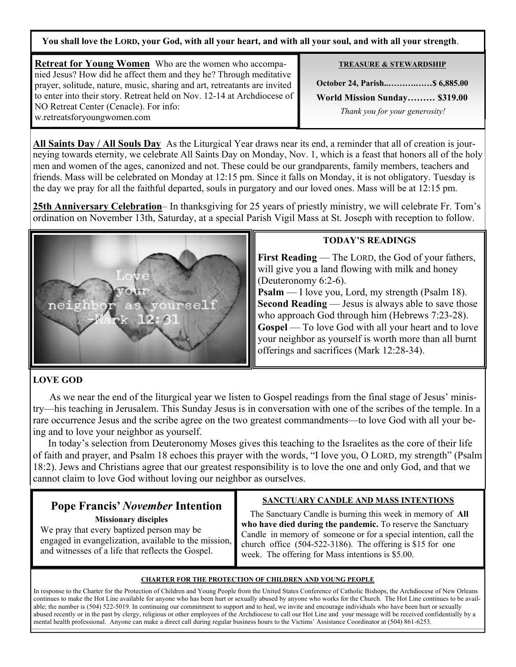**You shall love the LORD, your God, with all your heart, and with all your soul, and with all your strength**.

**Retreat for Young Women** Who are the women who accompanied Jesus? How did he affect them and they he? Through meditative prayer, solitude, nature, music, sharing and art, retreatants are invited to enter into their story. Retreat held on Nov. 12-14 at Archdiocese of NO Retreat Center (Cenacle). For info: w.retreatsforyoungwomen.com

**TREASURE & STEWARDSHIP**

**October 24, Parish..……….……\$ 6,885.00 World Mission Sunday……… \$319.00**   *Thank you for your generosity!* 

**All Saints Day / All Souls Day** As the Liturgical Year draws near its end, a reminder that all of creation is journeying towards eternity, we celebrate All Saints Day on Monday, Nov. 1, which is a feast that honors all of the holy men and women of the ages, canonized and not. These could be our grandparents, family members, teachers and friends. Mass will be celebrated on Monday at 12:15 pm. Since it falls on Monday, it is not obligatory. Tuesday is the day we pray for all the faithful departed, souls in purgatory and our loved ones. Mass will be at 12:15 pm.

**25th Anniversary Celebration**– In thanksgiving for 25 years of priestly ministry, we will celebrate Fr. Tom's ordination on November 13th, Saturday, at a special Parish Vigil Mass at St. Joseph with reception to follow.



## **TODAY'S READINGS**

**First Reading** — The LORD, the God of your fathers, will give you a land flowing with milk and honey (Deuteronomy 6:2-6).

**Psalm** — I love you, Lord, my strength (Psalm 18). **Second Reading** — Jesus is always able to save those who approach God through him (Hebrews 7:23-28). **Gospel** — To love God with all your heart and to love your neighbor as yourself is worth more than all burnt offerings and sacrifices (Mark 12:28-34).

## **LOVE GOD**

 As we near the end of the liturgical year we listen to Gospel readings from the final stage of Jesus' ministry—his teaching in Jerusalem. This Sunday Jesus is in conversation with one of the scribes of the temple. In a rare occurrence Jesus and the scribe agree on the two greatest commandments—to love God with all your being and to love your neighbor as yourself.

 In today's selection from Deuteronomy Moses gives this teaching to the Israelites as the core of their life of faith and prayer, and Psalm 18 echoes this prayer with the words, "I love you, O LORD, my strength" (Psalm 18:2). Jews and Christians agree that our greatest responsibility is to love the one and only God, and that we cannot claim to love God without loving our neighbor as ourselves.

# **Pope Francis'** *November* **Intention**

 **Missionary disciples**

We pray that every baptized person may be engaged in evangelization, available to the mission, and witnesses of a life that reflects the Gospel.

# **SANCTUARY CANDLE AND MASS INTENTIONS**

 The Sanctuary Candle is burning this week in memory of **All who have died during the pandemic.** To reserve the Sanctuary Candle in memory of someone or for a special intention, call the church office (504-522-3186). The offering is \$15 for one week. The offering for Mass intentions is \$5.00.

### **CHARTER FOR THE PROTECTION OF CHILDREN AND YOUNG PEOPLE**

In response to the Charter for the Protection of Children and Young People from the United States Conference of Catholic Bishops, the Archdiocese of New Orleans continues to make the Hot Line available for anyone who has been hurt or sexually abused by anyone who works for the Church. The Hot Line continues to be available; the number is (504) 522-5019. In continuing our commitment to support and to heal, we invite and encourage individuals who have been hurt or sexually abused recently or in the past by clergy, religious or other employees of the Archdiocese to call our Hot Line and your message will be received confidentially by a mental health professional. Anyone can make a direct call during regular business hours to the Victims' Assistance Coordinator at (504) 861-6253.